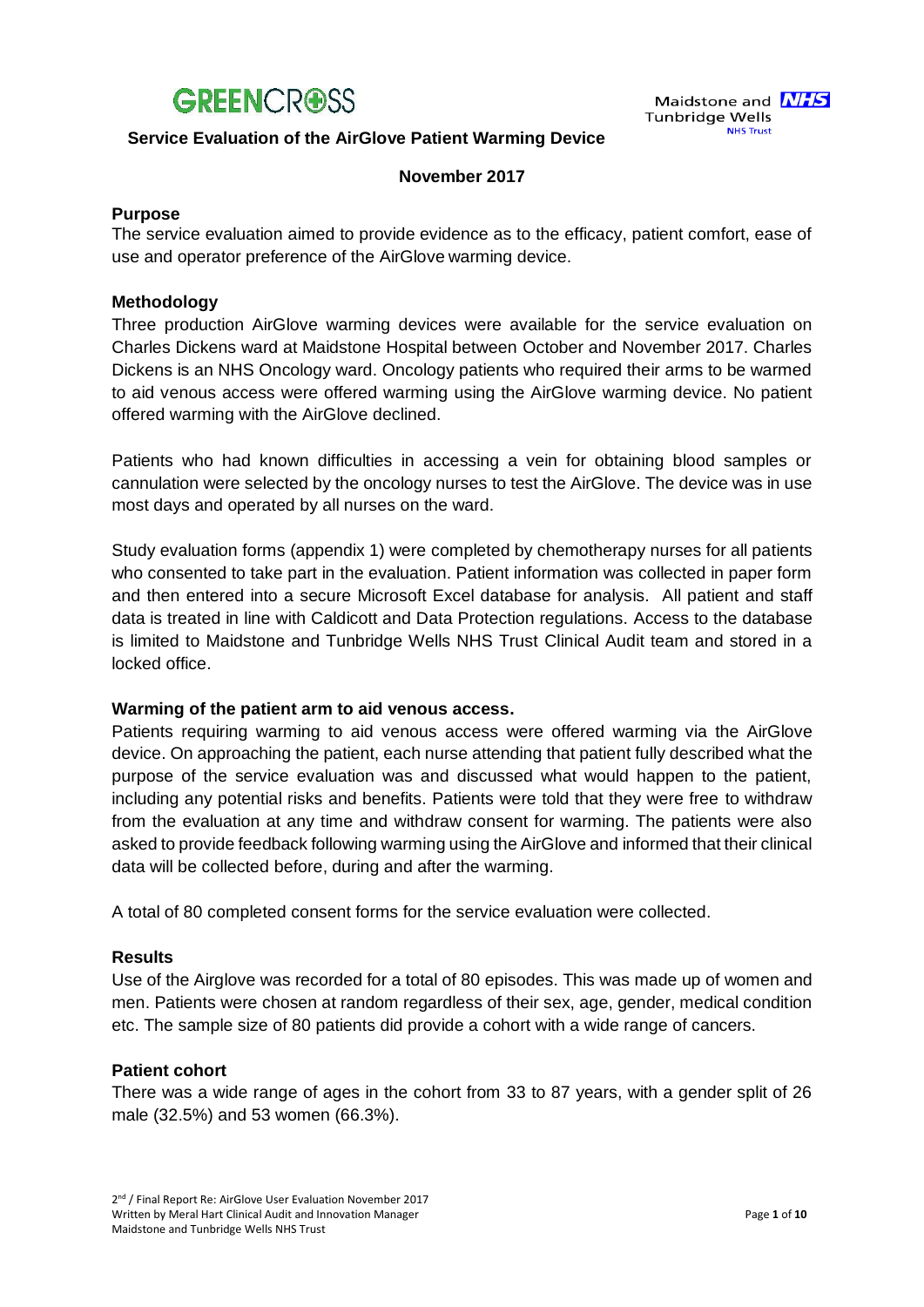

#### **Service Evaluation of the AirGlove Patient Warming Device**

#### **November 2017**

#### **Purpose**

The service evaluation aimed to provide evidence as to the efficacy, patient comfort, ease of use and operator preference of the AirGlove warming device.

#### **Methodology**

Three production AirGlove warming devices were available for the service evaluation on Charles Dickens ward at Maidstone Hospital between October and November 2017. Charles Dickens is an NHS Oncology ward. Oncology patients who required their arms to be warmed to aid venous access were offered warming using the AirGlove warming device. No patient offered warming with the AirGlove declined.

Patients who had known difficulties in accessing a vein for obtaining blood samples or cannulation were selected by the oncology nurses to test the AirGlove. The device was in use most days and operated by all nurses on the ward.

Study evaluation forms (appendix 1) were completed by chemotherapy nurses for all patients who consented to take part in the evaluation. Patient information was collected in paper form and then entered into a secure Microsoft Excel database for analysis. All patient and staff data is treated in line with Caldicott and Data Protection regulations. Access to the database is limited to Maidstone and Tunbridge Wells NHS Trust Clinical Audit team and stored in a locked office.

#### **Warming of the patient arm to aid venous access.**

Patients requiring warming to aid venous access were offered warming via the AirGlove device. On approaching the patient, each nurse attending that patient fully described what the purpose of the service evaluation was and discussed what would happen to the patient, including any potential risks and benefits. Patients were told that they were free to withdraw from the evaluation at any time and withdraw consent for warming. The patients were also asked to provide feedback following warming using the AirGlove and informed that their clinical data will be collected before, during and after the warming.

A total of 80 completed consent forms for the service evaluation were collected.

#### **Results**

Use of the Airglove was recorded for a total of 80 episodes. This was made up of women and men. Patients were chosen at random regardless of their sex, age, gender, medical condition etc. The sample size of 80 patients did provide a cohort with a wide range of cancers.

#### **Patient cohort**

There was a wide range of ages in the cohort from 33 to 87 years, with a gender split of 26 male (32.5%) and 53 women (66.3%).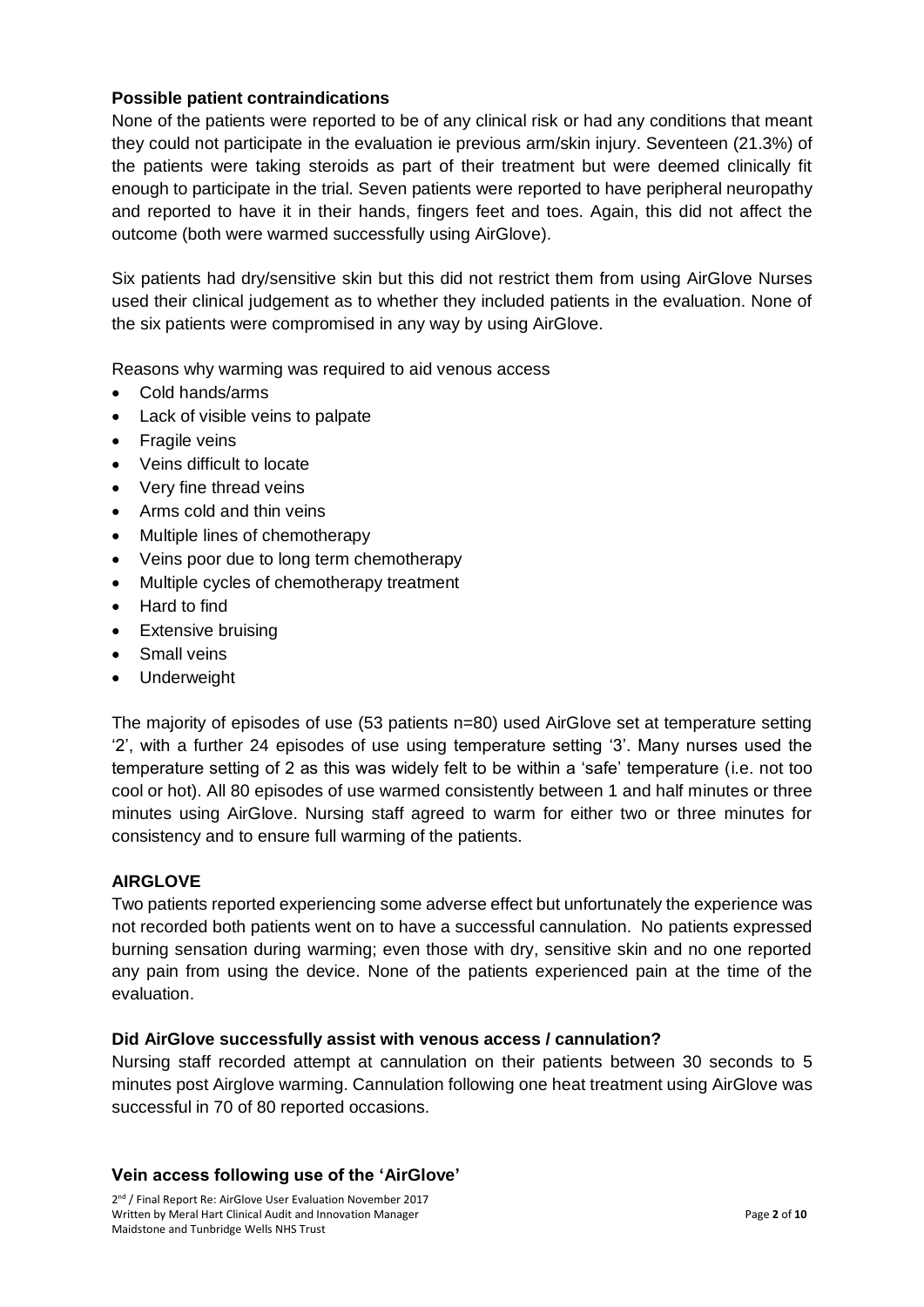#### **Possible patient contraindications**

None of the patients were reported to be of any clinical risk or had any conditions that meant they could not participate in the evaluation ie previous arm/skin injury. Seventeen (21.3%) of the patients were taking steroids as part of their treatment but were deemed clinically fit enough to participate in the trial. Seven patients were reported to have peripheral neuropathy and reported to have it in their hands, fingers feet and toes. Again, this did not affect the outcome (both were warmed successfully using AirGlove).

Six patients had dry/sensitive skin but this did not restrict them from using AirGlove Nurses used their clinical judgement as to whether they included patients in the evaluation. None of the six patients were compromised in any way by using AirGlove.

Reasons why warming was required to aid venous access

- Cold hands/arms
- Lack of visible veins to palpate
- Fragile veins
- Veins difficult to locate
- Very fine thread veins
- Arms cold and thin veins
- Multiple lines of chemotherapy
- Veins poor due to long term chemotherapy
- Multiple cycles of chemotherapy treatment
- Hard to find
- Extensive bruising
- Small veins
- Underweight

The majority of episodes of use (53 patients n=80) used AirGlove set at temperature setting '2', with a further 24 episodes of use using temperature setting '3'. Many nurses used the temperature setting of 2 as this was widely felt to be within a 'safe' temperature (i.e. not too cool or hot). All 80 episodes of use warmed consistently between 1 and half minutes or three minutes using AirGlove. Nursing staff agreed to warm for either two or three minutes for consistency and to ensure full warming of the patients.

#### **AIRGLOVE**

Two patients reported experiencing some adverse effect but unfortunately the experience was not recorded both patients went on to have a successful cannulation. No patients expressed burning sensation during warming; even those with dry, sensitive skin and no one reported any pain from using the device. None of the patients experienced pain at the time of the evaluation.

#### **Did AirGlove successfully assist with venous access / cannulation?**

Nursing staff recorded attempt at cannulation on their patients between 30 seconds to 5 minutes post Airglove warming. Cannulation following one heat treatment using AirGlove was successful in 70 of 80 reported occasions.

#### **Vein access following use of the 'AirGlove'**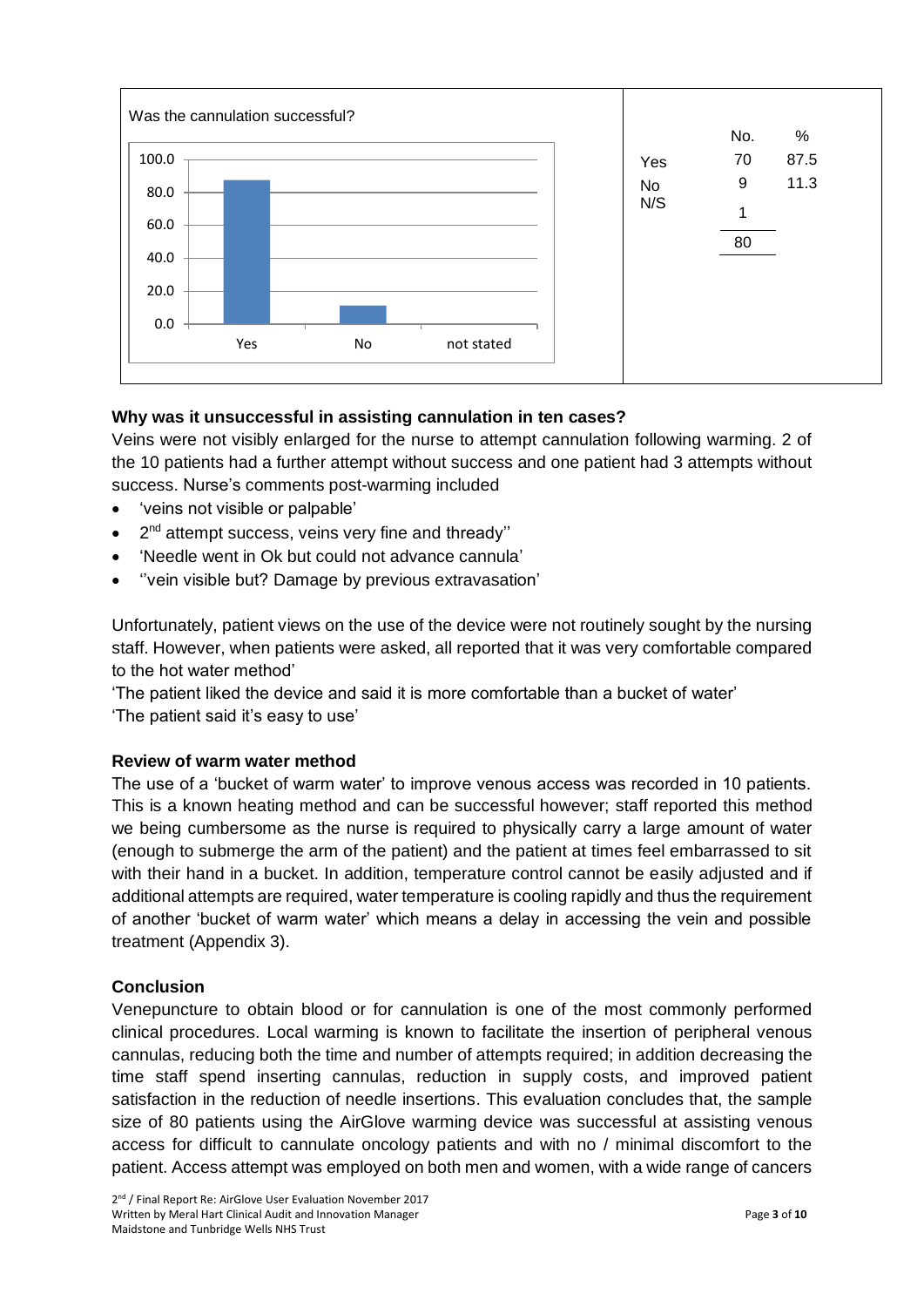

#### **Why was it unsuccessful in assisting cannulation in ten cases?**

Veins were not visibly enlarged for the nurse to attempt cannulation following warming. 2 of the 10 patients had a further attempt without success and one patient had 3 attempts without success. Nurse's comments post-warming included

- 'veins not visible or palpable'
- 2<sup>nd</sup> attempt success, veins very fine and thready"
- 'Needle went in Ok but could not advance cannula'
- ''vein visible but? Damage by previous extravasation'

Unfortunately, patient views on the use of the device were not routinely sought by the nursing staff. However, when patients were asked, all reported that it was very comfortable compared to the hot water method'

'The patient liked the device and said it is more comfortable than a bucket of water' 'The patient said it's easy to use'

#### **Review of warm water method**

The use of a 'bucket of warm water' to improve venous access was recorded in 10 patients. This is a known heating method and can be successful however; staff reported this method we being cumbersome as the nurse is required to physically carry a large amount of water (enough to submerge the arm of the patient) and the patient at times feel embarrassed to sit with their hand in a bucket. In addition, temperature control cannot be easily adjusted and if additional attempts are required, water temperature is cooling rapidly and thus the requirement of another 'bucket of warm water' which means a delay in accessing the vein and possible treatment (Appendix 3).

#### **Conclusion**

Venepuncture to obtain blood or for cannulation is one of the most commonly performed clinical procedures. Local warming is known to facilitate the insertion of peripheral venous cannulas, reducing both the time and number of attempts required; in addition decreasing the time staff spend inserting cannulas, reduction in supply costs, and improved patient satisfaction in the reduction of needle insertions. This evaluation concludes that, the sample size of 80 patients using the AirGlove warming device was successful at assisting venous access for difficult to cannulate oncology patients and with no / minimal discomfort to the patient. Access attempt was employed on both men and women, with a wide range of cancers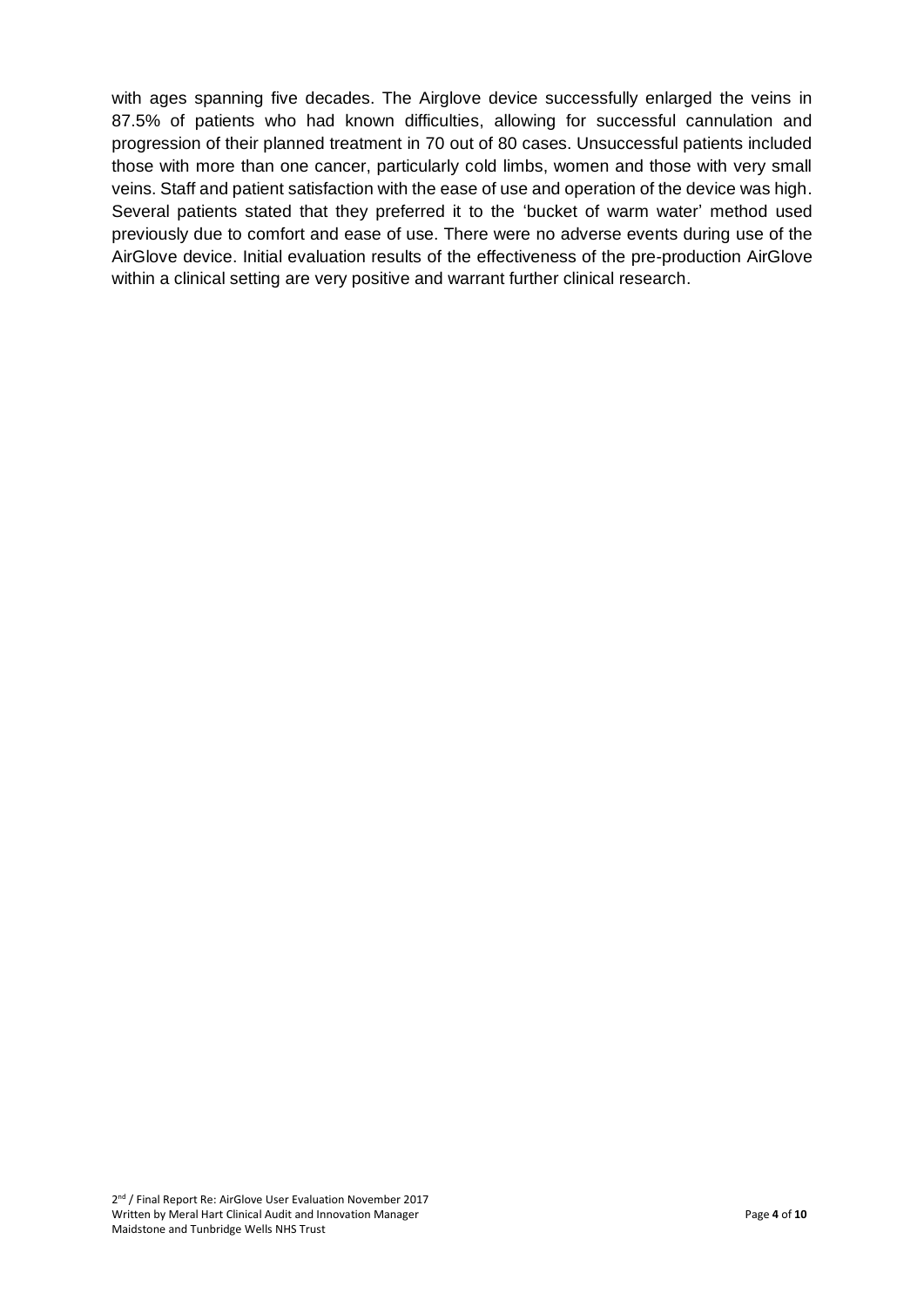with ages spanning five decades. The Airglove device successfully enlarged the veins in 87.5% of patients who had known difficulties, allowing for successful cannulation and progression of their planned treatment in 70 out of 80 cases. Unsuccessful patients included those with more than one cancer, particularly cold limbs, women and those with very small veins. Staff and patient satisfaction with the ease of use and operation of the device was high. Several patients stated that they preferred it to the 'bucket of warm water' method used previously due to comfort and ease of use. There were no adverse events during use of the AirGlove device. Initial evaluation results of the effectiveness of the pre-production AirGlove within a clinical setting are very positive and warrant further clinical research.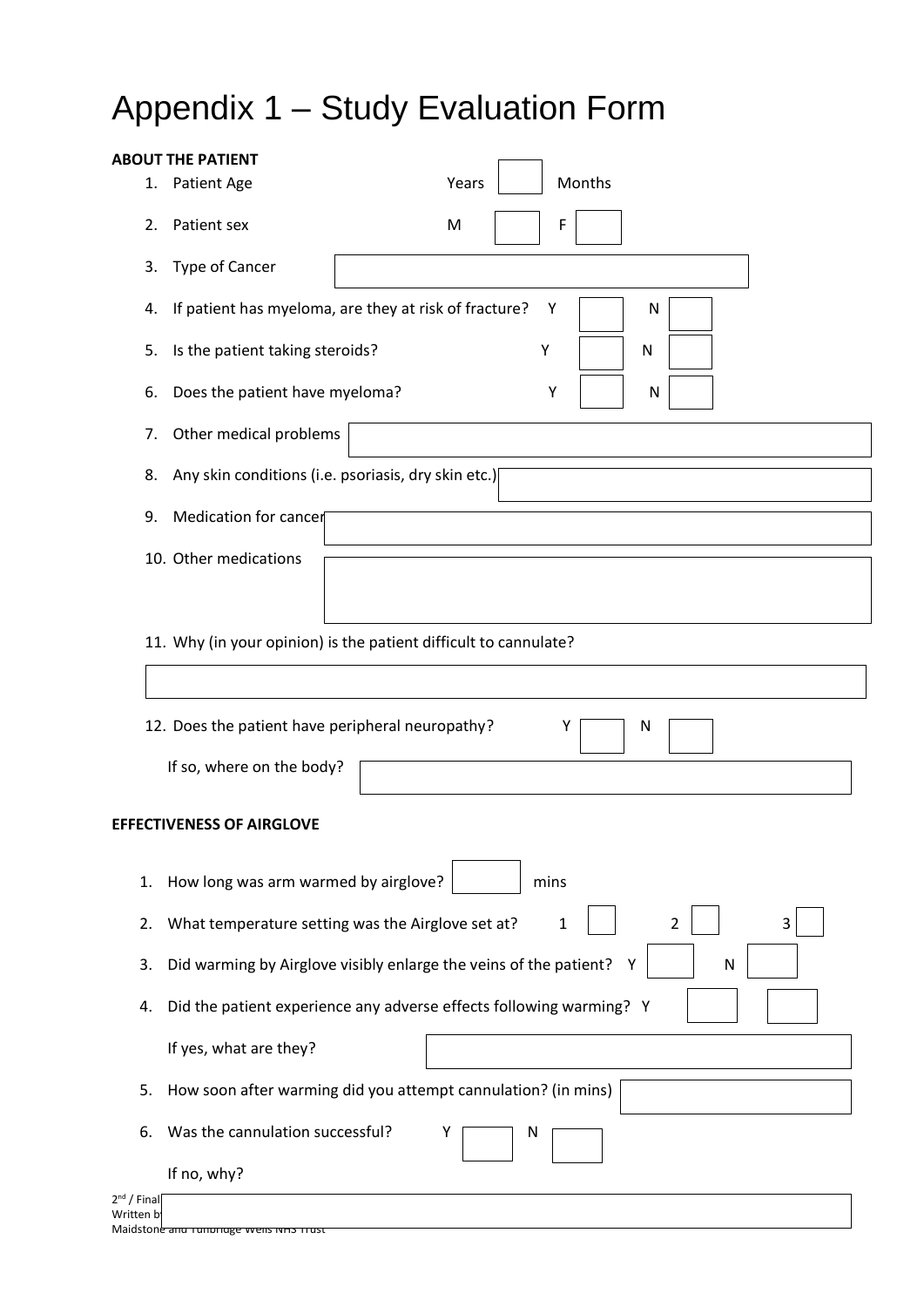# Appendix 1 – Study Evaluation Form

|                                  |                                                            | <b>ABOUT THE PATIENT</b>                                                    |                                                                 |  |  |  |  |
|----------------------------------|------------------------------------------------------------|-----------------------------------------------------------------------------|-----------------------------------------------------------------|--|--|--|--|
|                                  | 1.                                                         | Patient Age                                                                 | Months<br>Years                                                 |  |  |  |  |
|                                  | 2.                                                         | Patient sex                                                                 | F<br>M                                                          |  |  |  |  |
|                                  | 3.                                                         | Type of Cancer                                                              |                                                                 |  |  |  |  |
|                                  | 4.                                                         |                                                                             | If patient has myeloma, are they at risk of fracture?<br>Υ<br>N |  |  |  |  |
|                                  | 5.                                                         | Is the patient taking steroids?                                             | Υ<br>N                                                          |  |  |  |  |
|                                  | 6.                                                         | Does the patient have myeloma?                                              | Υ<br>N                                                          |  |  |  |  |
|                                  | 7.                                                         | Other medical problems                                                      |                                                                 |  |  |  |  |
|                                  | 8.                                                         | Any skin conditions (i.e. psoriasis, dry skin etc.)                         |                                                                 |  |  |  |  |
|                                  | 9.                                                         | Medication for cancer                                                       |                                                                 |  |  |  |  |
|                                  |                                                            | 10. Other medications                                                       |                                                                 |  |  |  |  |
|                                  |                                                            |                                                                             |                                                                 |  |  |  |  |
|                                  |                                                            | 11. Why (in your opinion) is the patient difficult to cannulate?            |                                                                 |  |  |  |  |
|                                  | 12. Does the patient have peripheral neuropathy?<br>Υ<br>N |                                                                             |                                                                 |  |  |  |  |
|                                  |                                                            |                                                                             |                                                                 |  |  |  |  |
|                                  |                                                            | If so, where on the body?                                                   |                                                                 |  |  |  |  |
|                                  |                                                            |                                                                             |                                                                 |  |  |  |  |
| <b>EFFECTIVENESS OF AIRGLOVE</b> |                                                            |                                                                             |                                                                 |  |  |  |  |
| 1.                               |                                                            | How long was arm warmed by airglove?                                        | mins                                                            |  |  |  |  |
| 2.                               |                                                            | What temperature setting was the Airglove set at?<br>1<br>2<br>3            |                                                                 |  |  |  |  |
| 3.                               |                                                            | Did warming by Airglove visibly enlarge the veins of the patient?<br>N<br>Y |                                                                 |  |  |  |  |
| 4.                               |                                                            | Did the patient experience any adverse effects following warming? Y         |                                                                 |  |  |  |  |
|                                  |                                                            | If yes, what are they?                                                      |                                                                 |  |  |  |  |
| 5.                               |                                                            | How soon after warming did you attempt cannulation? (in mins)               |                                                                 |  |  |  |  |
| 6.                               |                                                            | Was the cannulation successful?                                             | Υ<br>N                                                          |  |  |  |  |
|                                  |                                                            | If no, why?                                                                 |                                                                 |  |  |  |  |
| $2nd$ / Final<br>Written b       |                                                            |                                                                             |                                                                 |  |  |  |  |

Maidstone and Tunbridge wells NHS Trust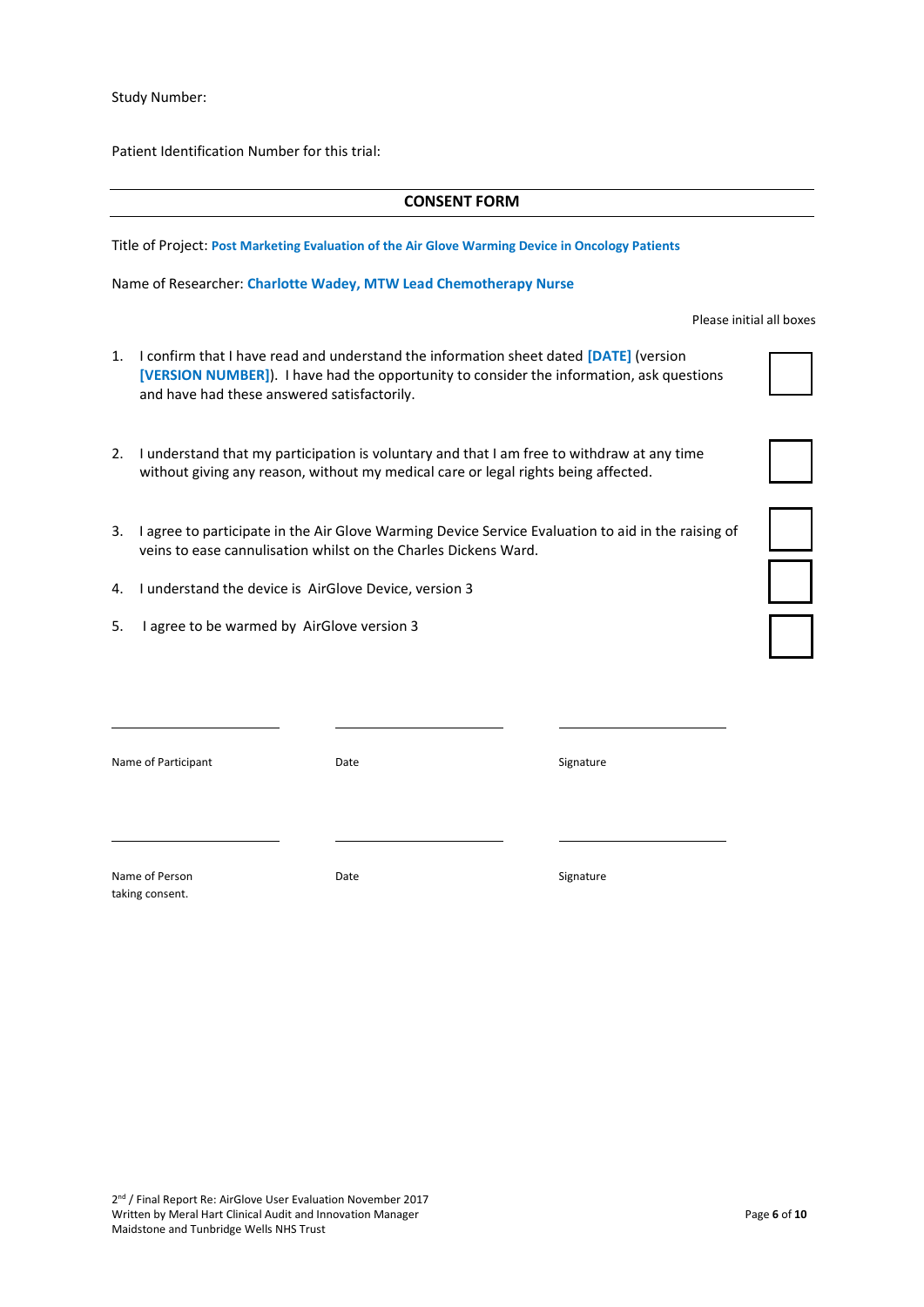Study Number:

Patient Identification Number for this trial:

#### **CONSENT FORM**

Title of Project: **Post Marketing Evaluation of the Air Glove Warming Device in Oncology Patients**

Name of Researcher: **Charlotte Wadey, MTW Lead Chemotherapy Nurse**

Please initial all boxes

- 1. I confirm that I have read and understand the information sheet dated **[DATE]** (version **[VERSION NUMBER]**). I have had the opportunity to consider the information, ask questions and have had these answered satisfactorily.
- 2. I understand that my participation is voluntary and that I am free to withdraw at any time without giving any reason, without my medical care or legal rights being affected.
- 3. I agree to participate in the Air Glove Warming Device Service Evaluation to aid in the raising of veins to ease cannulisation whilst on the Charles Dickens Ward.
- 4. I understand the device is AirGlove Device, version 3
- 5. I agree to be warmed by AirGlove version 3

Name of Participant **Name of Participant Name of Participant Signature** Date **Signature** 

Name of Person **Name of Person** Signature Date Signature taking consent.

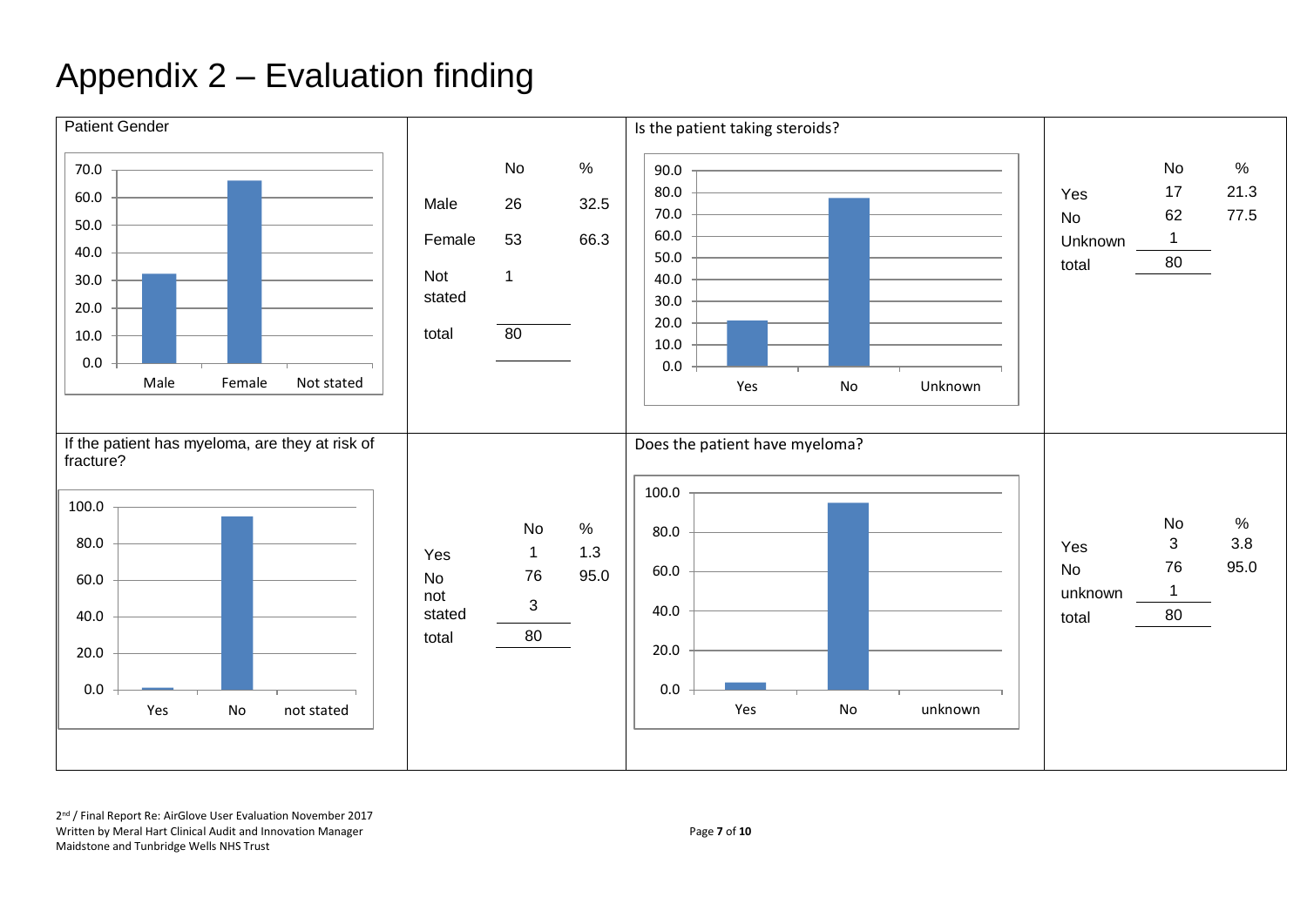## Appendix 2 – Evaluation finding

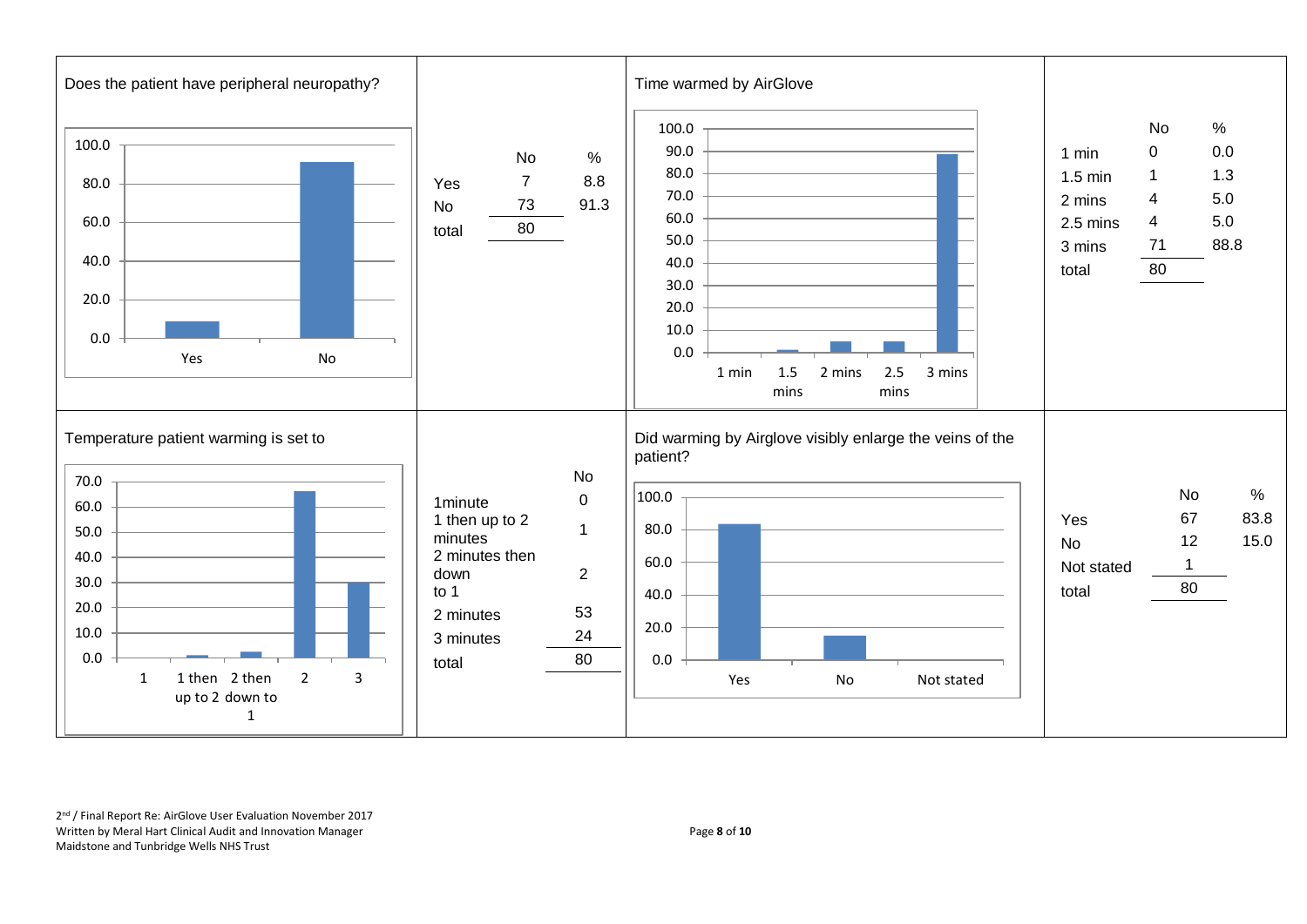

2<sup>nd</sup> / Final Report Re: AirGlove User Evaluation November 2017 Written by Meral Hart Clinical Audit and Innovation Manager **Page 8** of 10 Maidstone and Tunbridge Wells NHS Trust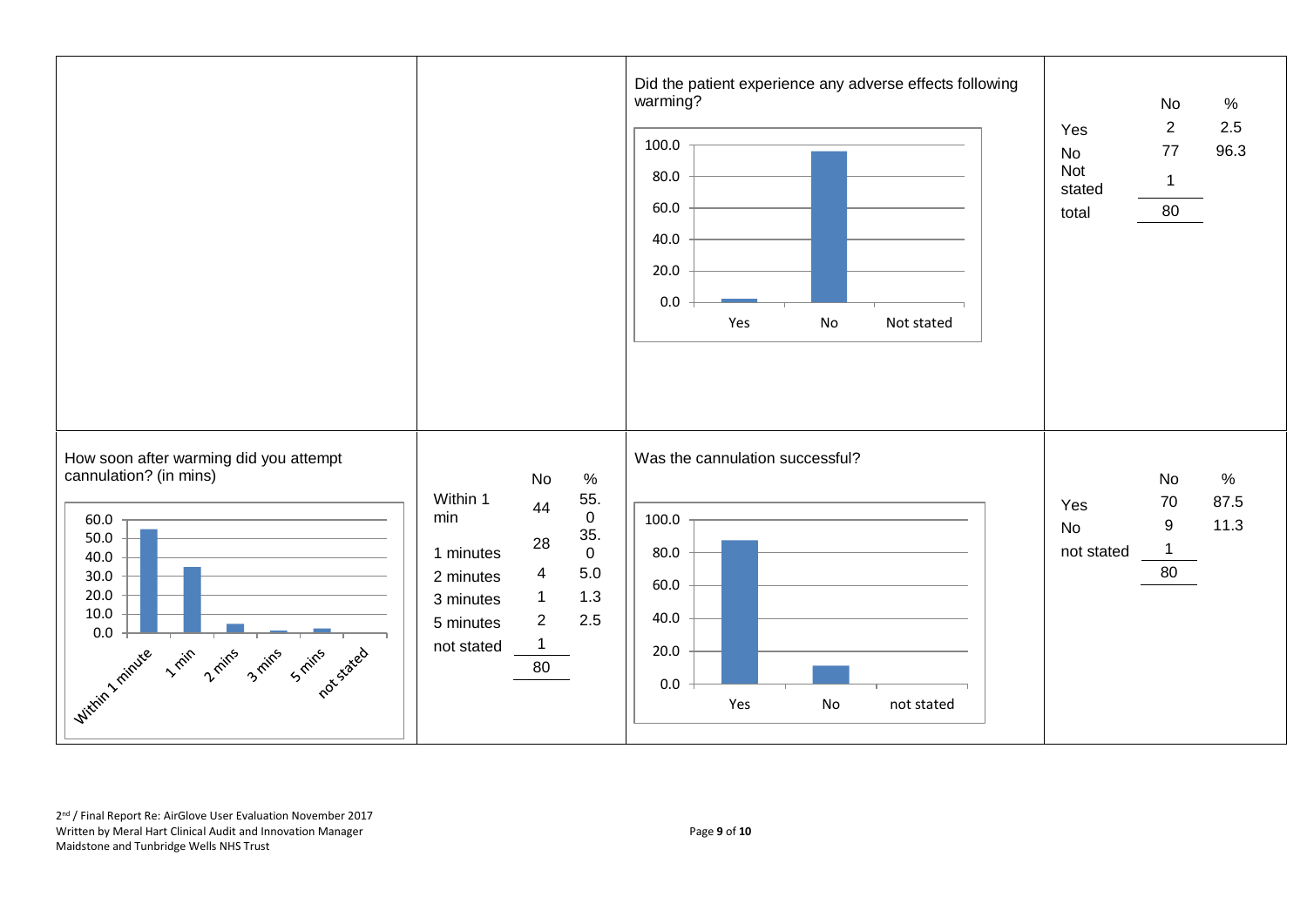

2<sup>nd</sup> / Final Report Re: AirGlove User Evaluation November 2017 Written by Meral Hart Clinical Audit and Innovation Manager Page **9** of **10** Maidstone and Tunbridge Wells NHS Trust